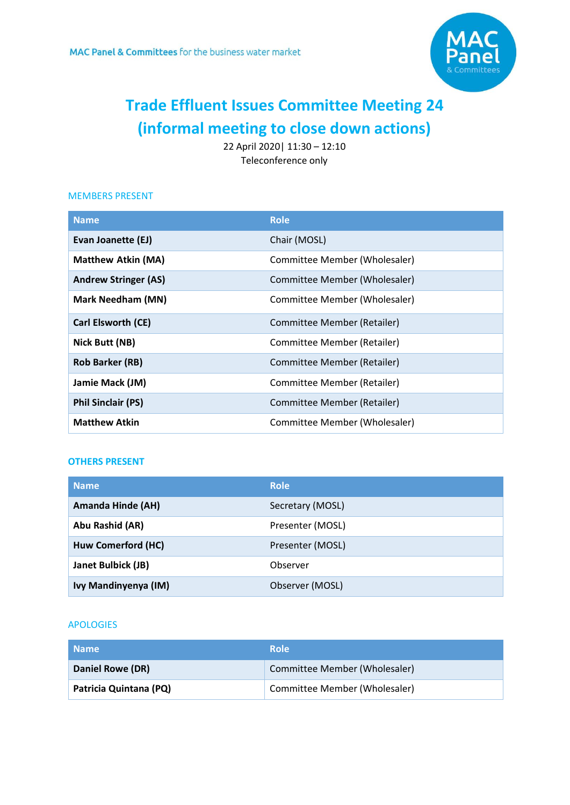

# **Trade Effluent Issues Committee Meeting 24 (informal meeting to close down actions)**

22 April 2020| 11:30 – 12:10 Teleconference only

#### MEMBERS PRESENT

| <b>Name</b>                 | <b>Role</b>                   |
|-----------------------------|-------------------------------|
| Evan Joanette (EJ)          | Chair (MOSL)                  |
| <b>Matthew Atkin (MA)</b>   | Committee Member (Wholesaler) |
| <b>Andrew Stringer (AS)</b> | Committee Member (Wholesaler) |
| <b>Mark Needham (MN)</b>    | Committee Member (Wholesaler) |
| Carl Elsworth (CE)          | Committee Member (Retailer)   |
| Nick Butt (NB)              | Committee Member (Retailer)   |
| <b>Rob Barker (RB)</b>      | Committee Member (Retailer)   |
| Jamie Mack (JM)             | Committee Member (Retailer)   |
| <b>Phil Sinclair (PS)</b>   | Committee Member (Retailer)   |
| <b>Matthew Atkin</b>        | Committee Member (Wholesaler) |

### **OTHERS PRESENT**

| <b>Name</b>               | <b>Role</b>      |
|---------------------------|------------------|
| <b>Amanda Hinde (AH)</b>  | Secretary (MOSL) |
| Abu Rashid (AR)           | Presenter (MOSL) |
| Huw Comerford (HC)        | Presenter (MOSL) |
| <b>Janet Bulbick (JB)</b> | Observer         |
| Ivy Mandinyenya (IM)      | Observer (MOSL)  |

### APOLOGIES

| <b>Name</b>            | <b>Role</b>                   |
|------------------------|-------------------------------|
| Daniel Rowe (DR)       | Committee Member (Wholesaler) |
| Patricia Quintana (PQ) | Committee Member (Wholesaler) |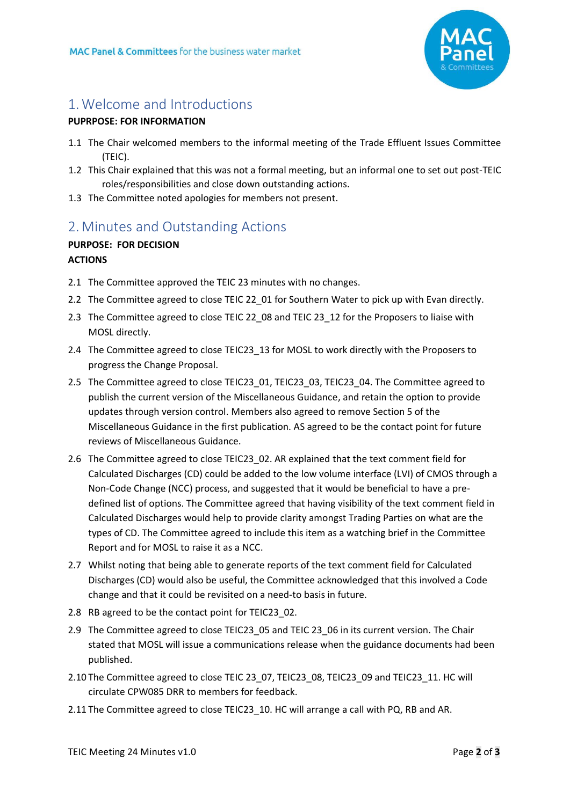

## 1.Welcome and Introductions

### **PUPRPOSE: FOR INFORMATION**

- <span id="page-1-0"></span>1.1 The Chair welcomed members to the informal meeting of the Trade Effluent Issues Committee (TEIC).
- 1.2 This Chair explained that this was not a formal meeting, but an informal one to set out post-TEIC roles/responsibilities and close down outstanding actions.
- 1.3 The Committee noted apologies for members not present.

# 2. [Minutes and Outstanding Actions](#page-1-0)

### **PURPOSE: FOR DECISION ACTIONS**

- 2.1 The Committee approved the TEIC 23 minutes with no changes.
- 2.2 The Committee agreed to close TEIC 22 01 for Southern Water to pick up with Evan directly.
- 2.3 The Committee agreed to close TEIC 22\_08 and TEIC 23\_12 for the Proposers to liaise with MOSL directly.
- 2.4 The Committee agreed to close TEIC23\_13 for MOSL to work directly with the Proposers to progress the Change Proposal.
- 2.5 The Committee agreed to close TEIC23\_01, TEIC23\_03, TEIC23\_04. The Committee agreed to publish the current version of the Miscellaneous Guidance, and retain the option to provide updates through version control. Members also agreed to remove Section 5 of the Miscellaneous Guidance in the first publication. AS agreed to be the contact point for future reviews of Miscellaneous Guidance.
- 2.6 The Committee agreed to close TEIC23\_02. AR explained that the text comment field for Calculated Discharges (CD) could be added to the low volume interface (LVI) of CMOS through a Non-Code Change (NCC) process, and suggested that it would be beneficial to have a predefined list of options. The Committee agreed that having visibility of the text comment field in Calculated Discharges would help to provide clarity amongst Trading Parties on what are the types of CD. The Committee agreed to include this item as a watching brief in the Committee Report and for MOSL to raise it as a NCC.
- 2.7 Whilst noting that being able to generate reports of the text comment field for Calculated Discharges (CD) would also be useful, the Committee acknowledged that this involved a Code change and that it could be revisited on a need-to basis in future.
- 2.8 RB agreed to be the contact point for TEIC23 02.
- 2.9 The Committee agreed to close TEIC23 05 and TEIC 23 06 in its current version. The Chair stated that MOSL will issue a communications release when the guidance documents had been published.
- 2.10 The Committee agreed to close TEIC 23\_07, TEIC23\_08, TEIC23\_09 and TEIC23\_11. HC will circulate CPW085 DRR to members for feedback.
- 2.11 The Committee agreed to close TEIC23\_10. HC will arrange a call with PQ, RB and AR.